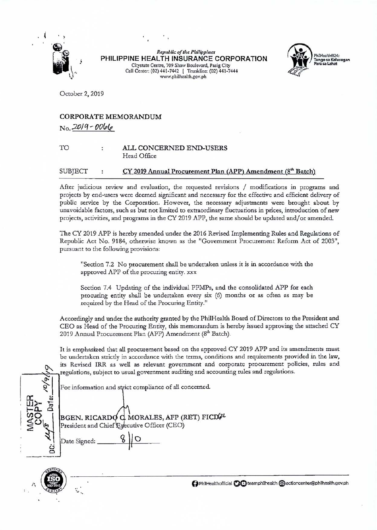

*Republic of tile Pllilippines*  **PHILIPPINE HEALTH INSURANCE CORPORATION**  Citystate Centre, 709 Shaw Boulevard, Pasig City Call Center: (02) 441-7442 | Trunkline: (02) 441-7444 www.philhealth.gov.ph



October 2, 2019

## CORPORATE MEMORANDUM No. *;2.0 I* q - *OO&(e*

## TO ALL CONCERNED END-USERS Head Office

## $SUB|ECT$  :  $CY 2019$  Annual Procurement Plan (APP) Amendment ( $8<sup>th</sup>$  Batch)

After judicious review and evaluation, the requested revisions / modifications in programs and projects by end-users were deemed significant and necessary for the effective and efficient delivery of public service by the Corporation. However, the necessary adjustments were brought about by unavoidable factors, such as but not limited to extraordinary fluctuations in prices, introduction of new projects, activities, and programs in the CY 2019 APP, the same should be updated and/ or amended.

The CY 2019 APP is hereby amended under the 2016 Revised Implementing Rules and Regulations of Republic Act No. 9184, otherwise known as the "Government Procurement Reform Act of 2003", pursuant to the following provisions:

"Section 7.2 No procurement shall be undertaken unless it is in accordance with the approved APP of the procuring entity. xxx

Section 7.4 Updating of the individual PPMPs, and the consolidated APP for each procuring entity shall be undertaken every six (6) months or as often as may be required by the Head of the Procuring Entity."

Accordingly and under the authority granted by the PhilHealth Board of Directors to the President and CEO as Head of the Procuring Entity, this memorandum is hereby issued approving the attached CY 2019 Annual Procurement Plan (APP) Amendment (8<sup>th</sup> Batch).

It is emphasized that all procurement based on the approved CY 2019 APP and its amendments must be undertaken strictly in accordance with the terms, conditions and requirements provided in the law, its Revised IRR as well as relevant government and corporate procurement policies, rules and regulations, subject to usual government auditing and accounting rules and regulations.

For information and strict compliance of all concerned.

**R**  $\sqrt{\frac{6}{3}}$ ' **UJ)-** <sup>~</sup>**r-n.. Cl**   $\sum_{i}$  President and Chief Executive Officer (CEO) a

BGEN. RlCARD MORALES, AFP (RET) FICD 2



Date Signed:

**0 PhilHealthofficial <b>O** C teamphilhealth @I actioncenter@philhealth.gov.ph